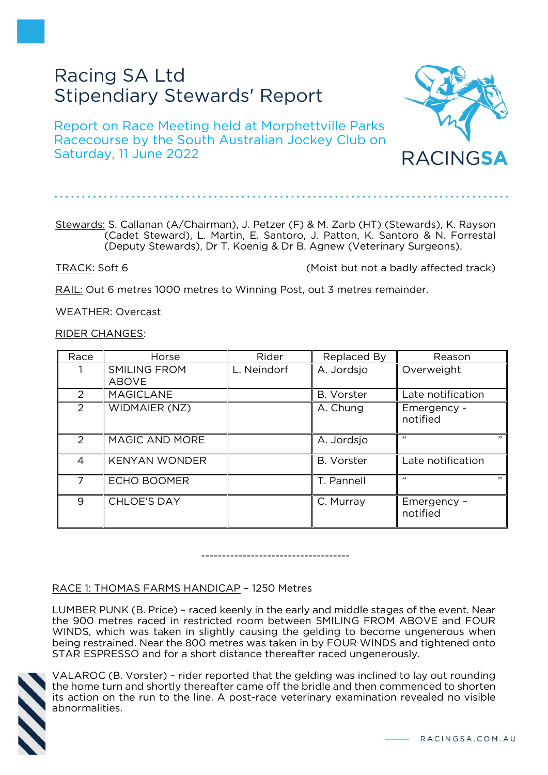# Racing SA Ltd Stipendiary Stewards' Report

Report on Race Meeting held at Morphettville Parks Racecourse by the South Australian Jockey Club on Saturday, 11 June 2022

RACINGSA

# Stewards: S. Callanan (A/Chairman), J. Petzer (F) & M. Zarb (HT) (Stewards), K. Rayson

(Deputy Stewards), Dr T. Koenig & Dr B. Agnew (Veterinary Surgeons).

(Cadet Steward), L. Martin, E. Santoro, J. Patton, K. Santoro & N. Forrestal

TRACK: Soft 6 (Moist but not a badly affected track)

RAIL: Out 6 metres 1000 metres to Winning Post, out 3 metres remainder.

WEATHER: Overcast

RIDER CHANGES:

| Race          | Horse                               | Rider       | Replaced By       | Reason                  |
|---------------|-------------------------------------|-------------|-------------------|-------------------------|
|               | <b>SMILING FROM</b><br><b>ABOVE</b> | L. Neindorf | A. Jordsjo        | Overweight              |
| $\mathcal{P}$ | <b>MAGICLANE</b>                    |             | <b>B.</b> Vorster | Late notification       |
| $\mathcal{P}$ | <b>WIDMAIER (NZ)</b>                |             | A. Chung          | Emergency -<br>notified |
| $\mathcal{P}$ | MAGIC AND MORE                      |             | A. Jordsjo        | $\epsilon$<br>$\cdots$  |
| 4             | <b>KENYAN WONDER</b>                |             | <b>B.</b> Vorster | Late notification       |
|               | <b>ECHO BOOMER</b>                  |             | T. Pannell        | $\epsilon$<br>$\cdots$  |
| 9             | <b>CHLOE'S DAY</b>                  |             | C. Murray         | Emergency -<br>notified |

------------------------------------

# RACE 1: THOMAS FARMS HANDICAP – 1250 Metres

LUMBER PUNK (B. Price) – raced keenly in the early and middle stages of the event. Near the 900 metres raced in restricted room between SMILING FROM ABOVE and FOUR WINDS, which was taken in slightly causing the gelding to become ungenerous when being restrained. Near the 800 metres was taken in by FOUR WINDS and tightened onto STAR ESPRESSO and for a short distance thereafter raced ungenerously.



VALAROC (B. Vorster) – rider reported that the gelding was inclined to lay out rounding the home turn and shortly thereafter came off the bridle and then commenced to shorten its action on the run to the line. A post-race veterinary examination revealed no visible abnormalities.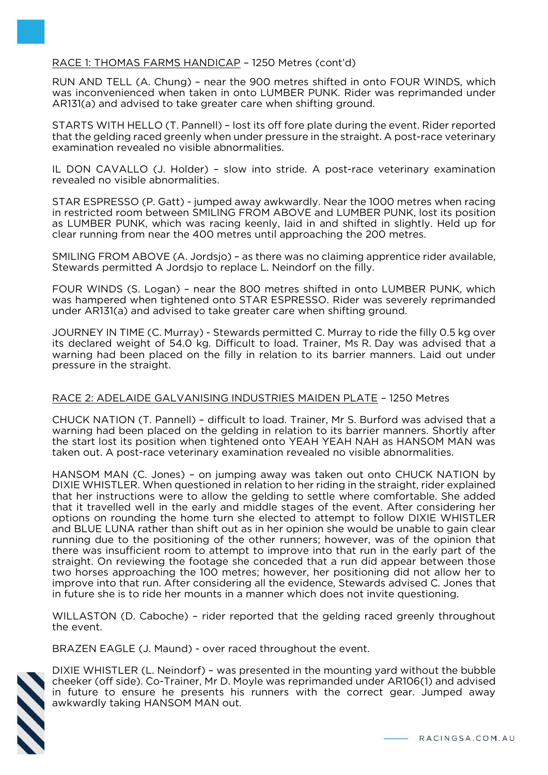# RACE 1: THOMAS FARMS HANDICAP – 1250 Metres (cont'd)

RUN AND TELL (A. Chung) – near the 900 metres shifted in onto FOUR WINDS, which was inconvenienced when taken in onto LUMBER PUNK. Rider was reprimanded under AR131(a) and advised to take greater care when shifting ground.

STARTS WITH HELLO (T. Pannell) – lost its off fore plate during the event. Rider reported that the gelding raced greenly when under pressure in the straight. A post-race veterinary examination revealed no visible abnormalities.

IL DON CAVALLO (J. Holder) – slow into stride. A post-race veterinary examination revealed no visible abnormalities.

STAR ESPRESSO (P. Gatt) - jumped away awkwardly. Near the 1000 metres when racing in restricted room between SMILING FROM ABOVE and LUMBER PUNK, lost its position as LUMBER PUNK, which was racing keenly, laid in and shifted in slightly. Held up for clear running from near the 400 metres until approaching the 200 metres.

SMILING FROM ABOVE (A. Jordsjo) – as there was no claiming apprentice rider available, Stewards permitted A Jordsjo to replace L. Neindorf on the filly.

FOUR WINDS (S. Logan) – near the 800 metres shifted in onto LUMBER PUNK, which was hampered when tightened onto STAR ESPRESSO. Rider was severely reprimanded under AR131(a) and advised to take greater care when shifting ground.

JOURNEY IN TIME (C. Murray) - Stewards permitted C. Murray to ride the filly 0.5 kg over its declared weight of 54.0 kg. Difficult to load. Trainer, Ms R. Day was advised that a warning had been placed on the filly in relation to its barrier manners. Laid out under pressure in the straight.

# RACE 2: ADELAIDE GALVANISING INDUSTRIES MAIDEN PLATE – 1250 Metres

CHUCK NATION (T. Pannell) – difficult to load. Trainer, Mr S. Burford was advised that a warning had been placed on the gelding in relation to its barrier manners. Shortly after the start lost its position when tightened onto YEAH YEAH NAH as HANSOM MAN was taken out. A post-race veterinary examination revealed no visible abnormalities.

HANSOM MAN (C. Jones) – on jumping away was taken out onto CHUCK NATION by DIXIE WHISTLER. When questioned in relation to her riding in the straight, rider explained that her instructions were to allow the gelding to settle where comfortable. She added that it travelled well in the early and middle stages of the event. After considering her options on rounding the home turn she elected to attempt to follow DIXIE WHISTLER and BLUE LUNA rather than shift out as in her opinion she would be unable to gain clear running due to the positioning of the other runners; however, was of the opinion that there was insufficient room to attempt to improve into that run in the early part of the straight. On reviewing the footage she conceded that a run did appear between those two horses approaching the 100 metres; however, her positioning did not allow her to improve into that run. After considering all the evidence, Stewards advised C. Jones that in future she is to ride her mounts in a manner which does not invite questioning.

WILLASTON (D. Caboche) – rider reported that the gelding raced greenly throughout the event.

BRAZEN EAGLE (J. Maund) - over raced throughout the event.



DIXIE WHISTLER (L. Neindorf) – was presented in the mounting yard without the bubble cheeker (off side). Co-Trainer, Mr D. Moyle was reprimanded under AR106(1) and advised in future to ensure he presents his runners with the correct gear. Jumped away awkwardly taking HANSOM MAN out.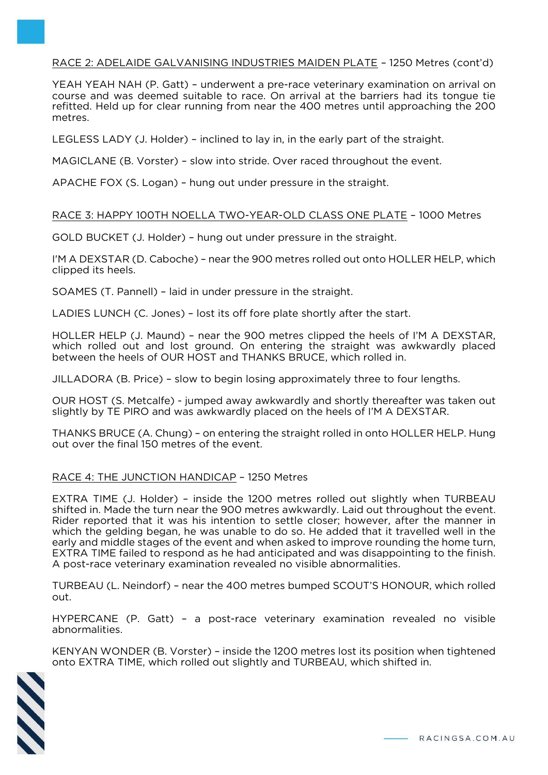# RACE 2: ADELAIDE GALVANISING INDUSTRIES MAIDEN PLATE – 1250 Metres (cont'd)

YEAH YEAH NAH (P. Gatt) – underwent a pre-race veterinary examination on arrival on course and was deemed suitable to race. On arrival at the barriers had its tongue tie refitted. Held up for clear running from near the 400 metres until approaching the 200 metres.

LEGLESS LADY (J. Holder) – inclined to lay in, in the early part of the straight.

MAGICLANE (B. Vorster) – slow into stride. Over raced throughout the event.

APACHE FOX (S. Logan) – hung out under pressure in the straight.

#### RACE 3: HAPPY 100TH NOELLA TWO-YEAR-OLD CLASS ONE PLATE – 1000 Metres

GOLD BUCKET (J. Holder) – hung out under pressure in the straight.

I'M A DEXSTAR (D. Caboche) – near the 900 metres rolled out onto HOLLER HELP, which clipped its heels.

SOAMES (T. Pannell) – laid in under pressure in the straight.

LADIES LUNCH (C. Jones) – lost its off fore plate shortly after the start.

HOLLER HELP (J. Maund) – near the 900 metres clipped the heels of I'M A DEXSTAR, which rolled out and lost ground. On entering the straight was awkwardly placed between the heels of OUR HOST and THANKS BRUCE, which rolled in.

JILLADORA (B. Price) – slow to begin losing approximately three to four lengths.

OUR HOST (S. Metcalfe) - jumped away awkwardly and shortly thereafter was taken out slightly by TE PIRO and was awkwardly placed on the heels of I'M A DEXSTAR.

THANKS BRUCE (A. Chung) – on entering the straight rolled in onto HOLLER HELP. Hung out over the final 150 metres of the event.

# RACE 4: THE JUNCTION HANDICAP – 1250 Metres

EXTRA TIME (J. Holder) – inside the 1200 metres rolled out slightly when TURBEAU shifted in. Made the turn near the 900 metres awkwardly. Laid out throughout the event. Rider reported that it was his intention to settle closer; however, after the manner in which the gelding began, he was unable to do so. He added that it travelled well in the early and middle stages of the event and when asked to improve rounding the home turn, EXTRA TIME failed to respond as he had anticipated and was disappointing to the finish. A post-race veterinary examination revealed no visible abnormalities.

TURBEAU (L. Neindorf) – near the 400 metres bumped SCOUT'S HONOUR, which rolled out.

HYPERCANE (P. Gatt) – a post-race veterinary examination revealed no visible abnormalities.

KENYAN WONDER (B. Vorster) – inside the 1200 metres lost its position when tightened onto EXTRA TIME, which rolled out slightly and TURBEAU, which shifted in.

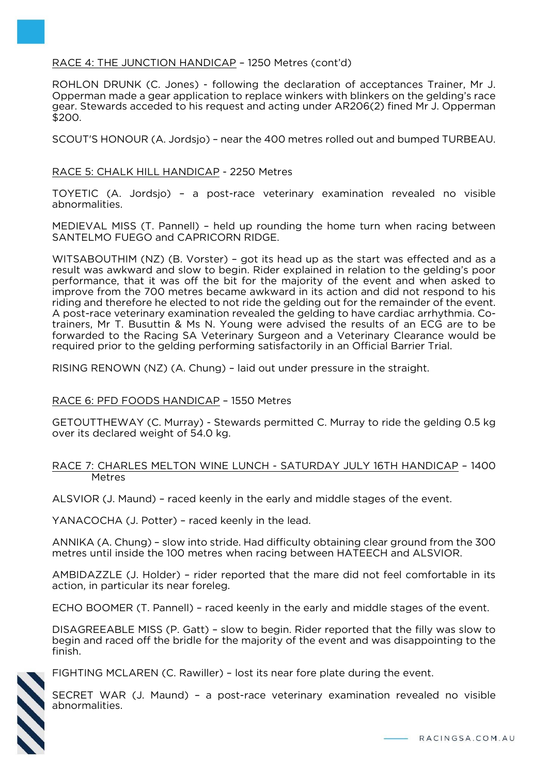# RACE 4: THE JUNCTION HANDICAP – 1250 Metres (cont'd)

ROHLON DRUNK (C. Jones) - following the declaration of acceptances Trainer, Mr J. Opperman made a gear application to replace winkers with blinkers on the gelding's race gear. Stewards acceded to his request and acting under AR206(2) fined Mr J. Opperman \$200.

SCOUT'S HONOUR (A. Jordsjo) – near the 400 metres rolled out and bumped TURBEAU.

#### RACE 5: CHALK HILL HANDICAP - 2250 Metres

TOYETIC (A. Jordsjo) – a post-race veterinary examination revealed no visible abnormalities.

MEDIEVAL MISS (T. Pannell) – held up rounding the home turn when racing between SANTELMO FUEGO and CAPRICORN RIDGE.

WITSABOUTHIM (NZ) (B. Vorster) – got its head up as the start was effected and as a result was awkward and slow to begin. Rider explained in relation to the gelding's poor performance, that it was off the bit for the majority of the event and when asked to improve from the 700 metres became awkward in its action and did not respond to his riding and therefore he elected to not ride the gelding out for the remainder of the event. A post-race veterinary examination revealed the gelding to have cardiac arrhythmia. Cotrainers, Mr T. Busuttin & Ms N. Young were advised the results of an ECG are to be forwarded to the Racing SA Veterinary Surgeon and a Veterinary Clearance would be required prior to the gelding performing satisfactorily in an Official Barrier Trial.

RISING RENOWN (NZ) (A. Chung) – laid out under pressure in the straight.

#### RACE 6: PFD FOODS HANDICAP – 1550 Metres

GETOUTTHEWAY (C. Murray) - Stewards permitted C. Murray to ride the gelding 0.5 kg over its declared weight of 54.0 kg.

#### RACE 7: CHARLES MELTON WINE LUNCH - SATURDAY JULY 16TH HANDICAP – 1400 Metres

ALSVIOR (J. Maund) – raced keenly in the early and middle stages of the event.

YANACOCHA (J. Potter) – raced keenly in the lead.

ANNIKA (A. Chung) – slow into stride. Had difficulty obtaining clear ground from the 300 metres until inside the 100 metres when racing between HATEECH and ALSVIOR.

AMBIDAZZLE (J. Holder) – rider reported that the mare did not feel comfortable in its action, in particular its near foreleg.

ECHO BOOMER (T. Pannell) – raced keenly in the early and middle stages of the event.

DISAGREEABLE MISS (P. Gatt) – slow to begin. Rider reported that the filly was slow to begin and raced off the bridle for the majority of the event and was disappointing to the finish.



FIGHTING MCLAREN (C. Rawiller) – lost its near fore plate during the event.

SECRET WAR (J. Maund) – a post-race veterinary examination revealed no visible abnormalities.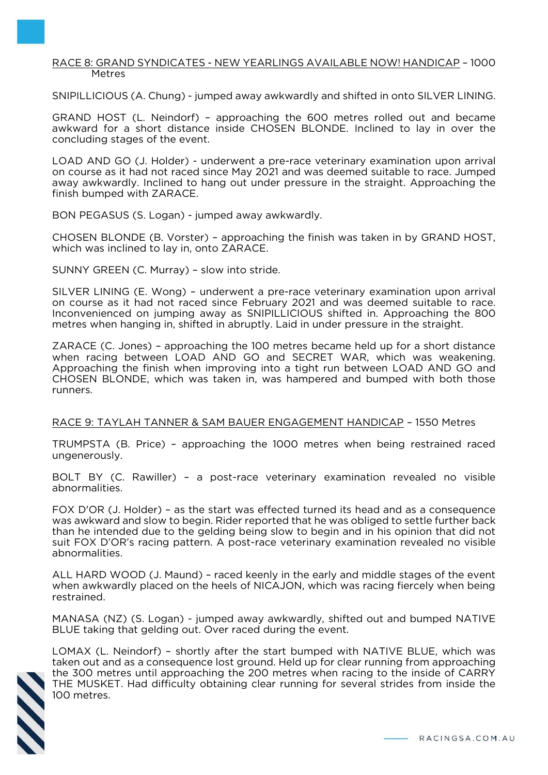#### RACE 8: GRAND SYNDICATES - NEW YEARLINGS AVAILABLE NOW! HANDICAP – 1000 Metres

SNIPILLICIOUS (A. Chung) - jumped away awkwardly and shifted in onto SILVER LINING.

GRAND HOST (L. Neindorf) – approaching the 600 metres rolled out and became awkward for a short distance inside CHOSEN BLONDE. Inclined to lay in over the concluding stages of the event.

LOAD AND GO (J. Holder) - underwent a pre-race veterinary examination upon arrival on course as it had not raced since May 2021 and was deemed suitable to race. Jumped away awkwardly. Inclined to hang out under pressure in the straight. Approaching the finish bumped with ZARACE.

BON PEGASUS (S. Logan) - jumped away awkwardly.

CHOSEN BLONDE (B. Vorster) – approaching the finish was taken in by GRAND HOST, which was inclined to lay in, onto ZARACE.

SUNNY GREEN (C. Murray) – slow into stride.

SILVER LINING (E. Wong) – underwent a pre-race veterinary examination upon arrival on course as it had not raced since February 2021 and was deemed suitable to race. Inconvenienced on jumping away as SNIPILLICIOUS shifted in. Approaching the 800 metres when hanging in, shifted in abruptly. Laid in under pressure in the straight.

ZARACE (C. Jones) – approaching the 100 metres became held up for a short distance when racing between LOAD AND GO and SECRET WAR, which was weakening. Approaching the finish when improving into a tight run between LOAD AND GO and CHOSEN BLONDE, which was taken in, was hampered and bumped with both those runners.

RACE 9: TAYLAH TANNER & SAM BAUER ENGAGEMENT HANDICAP – 1550 Metres

TRUMPSTA (B. Price) – approaching the 1000 metres when being restrained raced ungenerously.

BOLT BY (C. Rawiller) – a post-race veterinary examination revealed no visible abnormalities.

FOX D'OR (J. Holder) – as the start was effected turned its head and as a consequence was awkward and slow to begin. Rider reported that he was obliged to settle further back than he intended due to the gelding being slow to begin and in his opinion that did not suit FOX D'OR's racing pattern. A post-race veterinary examination revealed no visible abnormalities.

ALL HARD WOOD (J. Maund) – raced keenly in the early and middle stages of the event when awkwardly placed on the heels of NICAJON, which was racing fiercely when being restrained.

MANASA (NZ) (S. Logan) - jumped away awkwardly, shifted out and bumped NATIVE BLUE taking that gelding out. Over raced during the event.

LOMAX (L. Neindorf) – shortly after the start bumped with NATIVE BLUE, which was taken out and as a consequence lost ground. Held up for clear running from approaching the 300 metres until approaching the 200 metres when racing to the inside of CARRY THE MUSKET. Had difficulty obtaining clear running for several strides from inside the 100 metres.

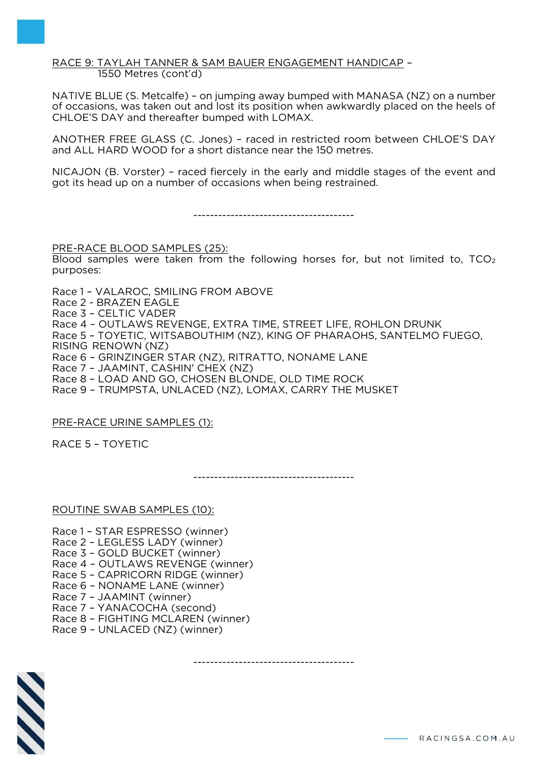RACE 9: TAYLAH TANNER & SAM BAUER ENGAGEMENT HANDICAP – 1550 Metres (cont'd)

NATIVE BLUE (S. Metcalfe) – on jumping away bumped with MANASA (NZ) on a number of occasions, was taken out and lost its position when awkwardly placed on the heels of CHLOE'S DAY and thereafter bumped with LOMAX.

ANOTHER FREE GLASS (C. Jones) – raced in restricted room between CHLOE'S DAY and ALL HARD WOOD for a short distance near the 150 metres.

NICAJON (B. Vorster) – raced fiercely in the early and middle stages of the event and got its head up on a number of occasions when being restrained.

---------------------------------------

PRE-RACE BLOOD SAMPLES (25):

Blood samples were taken from the following horses for, but not limited to,  $TCO<sub>2</sub>$ purposes:

Race 1 – VALAROC, SMILING FROM ABOVE

- Race 2 BRAZEN EAGLE
- Race 3 CELTIC VADER
- Race 4 OUTLAWS REVENGE, EXTRA TIME, STREET LIFE, ROHLON DRUNK

Race 5 – TOYETIC, WITSABOUTHIM (NZ), KING OF PHARAOHS, SANTELMO FUEGO,

RISING RENOWN (NZ)

Race 6 – GRINZINGER STAR (NZ), RITRATTO, NONAME LANE

Race 7 – JAAMINT, CASHIN' CHEX (NZ)

Race 8 – LOAD AND GO, CHOSEN BLONDE, OLD TIME ROCK

Race 9 – TRUMPSTA, UNLACED (NZ), LOMAX, CARRY THE MUSKET

# PRE-RACE URINE SAMPLES (1):

RACE 5 – TOYETIC

---------------------------------------

---------------------------------------

#### ROUTINE SWAB SAMPLES (10):

Race 1 – STAR ESPRESSO (winner) Race 2 – LEGLESS LADY (winner) Race 3 – GOLD BUCKET (winner) Race 4 – OUTLAWS REVENGE (winner) Race 5 – CAPRICORN RIDGE (winner) Race 6 – NONAME LANE (winner) Race 7 – JAAMINT (winner) Race 7 – YANACOCHA (second) Race 8 – FIGHTING MCLAREN (winner) Race 9 – UNLACED (NZ) (winner)